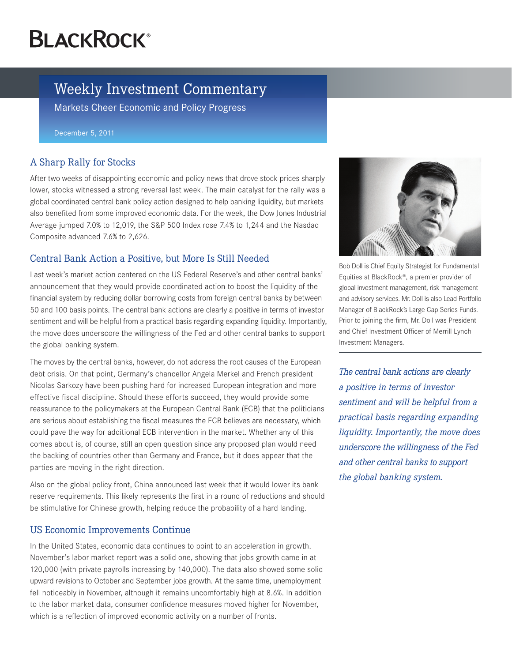# **BLACKROCK®**

# Weekly Investment Commentary

Markets Cheer Economic and Policy Progress

December 5, 2011

## A Sharp Rally for Stocks

After two weeks of disappointing economic and policy news that drove stock prices sharply lower, stocks witnessed a strong reversal last week. The main catalyst for the rally was a global coordinated central bank policy action designed to help banking liquidity, but markets also benefited from some improved economic data. For the week, the Dow Jones Industrial Average jumped 7.0% to 12,019, the S&P 500 Index rose 7.4% to 1,244 and the Nasdaq Composite advanced 7.6% to 2,626.

### Central Bank Action a Positive, but More Is Still Needed

Last week's market action centered on the US Federal Reserve's and other central banks' announcement that they would provide coordinated action to boost the liquidity of the financial system by reducing dollar borrowing costs from foreign central banks by between 50 and 100 basis points. The central bank actions are clearly a positive in terms of investor sentiment and will be helpful from a practical basis regarding expanding liquidity. Importantly, the move does underscore the willingness of the Fed and other central banks to support the global banking system.

The moves by the central banks, however, do not address the root causes of the European debt crisis. On that point, Germany's chancellor Angela Merkel and French president Nicolas Sarkozy have been pushing hard for increased European integration and more effective fiscal discipline. Should these efforts succeed, they would provide some reassurance to the policymakers at the European Central Bank (ECB) that the politicians are serious about establishing the fiscal measures the ECB believes are necessary, which could pave the way for additional ECB intervention in the market. Whether any of this comes about is, of course, still an open question since any proposed plan would need the backing of countries other than Germany and France, but it does appear that the parties are moving in the right direction.

Also on the global policy front, China announced last week that it would lower its bank reserve requirements. This likely represents the first in a round of reductions and should be stimulative for Chinese growth, helping reduce the probability of a hard landing.

#### US Economic Improvements Continue

In the United States, economic data continues to point to an acceleration in growth. November's labor market report was a solid one, showing that jobs growth came in at 120,000 (with private payrolls increasing by 140,000). The data also showed some solid upward revisions to October and September jobs growth. At the same time, unemployment fell noticeably in November, although it remains uncomfortably high at 8.6%. In addition to the labor market data, consumer confidence measures moved higher for November, which is a reflection of improved economic activity on a number of fronts.



Bob Doll is Chief Equity Strategist for Fundamental Equities at BlackRock®, a premier provider of global investment management, risk management and advisory services. Mr. Doll is also Lead Portfolio Manager of BlackRock's Large Cap Series Funds. Prior to joining the firm, Mr. Doll was President and Chief Investment Officer of Merrill Lynch Investment Managers.

*The central bank actions are clearly a positive in terms of investor sentiment and will be helpful from a practical basis regarding expanding liquidity. Importantly, the move does underscore the willingness of the Fed and other central banks to support the global banking system.*